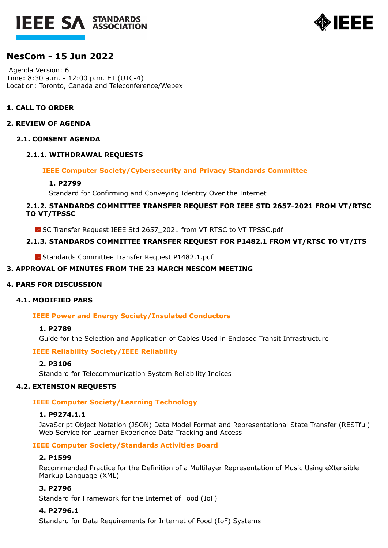



# **NesCom - 15 Jun 2022**

 Agenda Version: 6 Time: 8:30 a.m. - 12:00 p.m. ET (UTC-4) Location: Toronto, Canada and Teleconference/Webex

# **1. CALL TO ORDER**

## **2. REVIEW OF AGENDA**

# **2.1. CONSENT AGENDA**

# **2.1.1. WITHDRAWAL REQUESTS**

# **IEEE Computer Society/Cybersecurity and Privacy Standards Committee**

# **[1. P27](https://development.standards.ieee.org/myproject-web/app#/viewpar/6663)99**

Standard for Confirming and Conveying Identity Over the Internet

# **2.1.2. STANDARDS COMMITTEE TRANSFER REQUEST FOR IEEE STD 2657-2021 FROM VT/RTSC TO VT/TPSSC**

**SC Transfer Request IEEE Std 2657 2021 from VT RTSC to VT TPSSC.pdf** 

# **2.1.3. STANDARDS COMMITTEE TRANSFER REQUEST FOR P1482.1 FROM VT/RTSC TO VT/ITS**

▶ [Standards Committee Transfer Request P1482.1](https://development.standards.ieee.org/myproject-web/rest/api/private/attachment/export?srcId1=2879&srcId2=175&src=AgendaItem&fileName=Standards%20Committee%20Transfer%20Request%20P1482.1.pdf&fileLink=PROD%2FMyProject%2FAgendaItem%2F2879%2F175%2F2022-06-06_16-54-29%2FStandards%20Committee%20Transfer%20Request%20P1482.1.pdf).pdf

# **3. APPROVAL OF MINUTES FROM THE 23 MARCH NESCOM MEETING**

### **4. PARS FOR DISCUSSION**

### **4.1. MODIFIED PARS**

**IEEE Power and Energy Society/Insulated Conductors**

### **[1. P27](https://development.standards.ieee.org/myproject-web/app#/viewpar/9984)89**

Guide for the Selection and Application of Cables Used in Enclosed Transit Infrastructure

### **IEEE Reliability Society/IEEE Reliability**

### **[2. P31](https://development.standards.ieee.org/myproject-web/app#/viewpar/9994)06**

Standard for Telecommunication System Reliability Indices

### **4.2. EXTENSION REQUESTS**

### **IEEE Computer Society/Learning Technology**

### **[1. P9274.](https://development.standards.ieee.org/myproject-web/app#/viewpar/6485)1.1**

JavaScript Object Notation (JSON) Data Model Format and Representational State Transfer (RESTful) Web Service for Learner Experience Data Tracking and Access

**IEEE Computer Society/Standards Activities Board**

### **[2. P15](https://development.standards.ieee.org/myproject-web/app#/viewpar/6500)99**

Recommended Practice for the Definition of a Multilayer Representation of Music Using eXtensible Markup Language (XML)

### **[3. P27](https://development.standards.ieee.org/myproject-web/app#/viewpar/6657)96**

Standard for Framework for the Internet of Food (IoF)

### **[4. P279](https://development.standards.ieee.org/myproject-web/app#/viewpar/6659)6.1**

Standard for Data Requirements for Internet of Food (IoF) Systems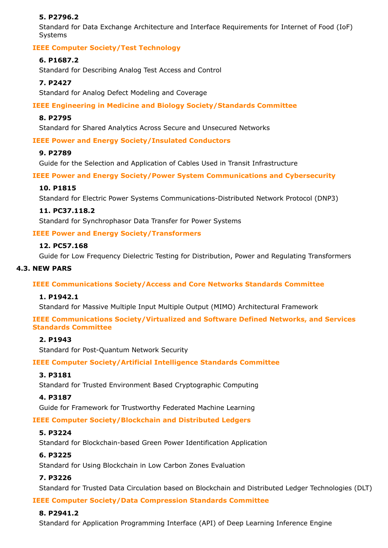# **[5. P279](https://development.standards.ieee.org/myproject-web/app#/viewpar/6660)6.2**

Standard for Data Exchange Architecture and Interface Requirements for Internet of Food (IoF) Systems

# **IEEE Computer Society/Test Technology**

### **[6. P168](https://development.standards.ieee.org/myproject-web/app#/viewpar/6360)7.2**

Standard for Describing Analog Test Access and Control

## **[7. P24](https://development.standards.ieee.org/myproject-web/app#/viewpar/6359)27**

Standard for Analog Defect Modeling and Coverage

#### **IEEE Engineering in Medicine and Biology Society/Standards Committee**

### **[8. P27](https://development.standards.ieee.org/myproject-web/app#/viewpar/6645)95**

Standard for Shared Analytics Across Secure and Unsecured Networks

#### **IEEE Power and Energy Society/Insulated Conductors**

#### **[9. P27](https://development.standards.ieee.org/myproject-web/app#/viewpar/6602)89**

Guide for the Selection and Application of Cables Used in Transit Infrastructure

**IEEE Power and Energy Society/Power System Communications and Cybersecurity**

#### **[10. P18](https://development.standards.ieee.org/myproject-web/app#/viewpar/5419)15**

Standard for Electric Power Systems Communications-Distributed Network Protocol (DNP3)

### **[11. PC37.11](https://development.standards.ieee.org/myproject-web/app#/viewpar/6127)8.2**

Standard for Synchrophasor Data Transfer for Power Systems

#### **IEEE Power and Energy Society/Transformers**

#### **[12. PC57.1](https://development.standards.ieee.org/myproject-web/app#/viewpar/6523)68**

Guide for Low Frequency Dielectric Testing for Distribution, Power and Regulating Transformers

#### **4.3. NEW PARS**

### **IEEE Communications Society/Access and Core Networks Standards Committee**

### **[1. P194](https://development.standards.ieee.org/myproject-web/app#/viewpar/9769)2.1**

Standard for Massive Multiple Input Multiple Output (MIMO) Architectural Framework

**IEEE Communications Society/Virtualized and Software Defined Networks, and Services Standards Committee**

#### **[2. P19](https://development.standards.ieee.org/myproject-web/app#/viewpar/9872)43**

Standard for Post-Quantum Network Security

### **IEEE Computer Society/Artificial Intelligence Standards Committee**

# **[3. P31](https://development.standards.ieee.org/myproject-web/app#/viewpar/9978)81**

Standard for Trusted Environment Based Cryptographic Computing

### **[4. P31](https://development.standards.ieee.org/myproject-web/app#/viewpar/9979)87**

Guide for Framework for Trustworthy Federated Machine Learning

### **IEEE Computer Society/Blockchain and Distributed Ledgers**

### **[5. P32](https://development.standards.ieee.org/myproject-web/app#/viewpar/9950)24**

Standard for Blockchain-based Green Power Identification Application

### **[6. P32](https://development.standards.ieee.org/myproject-web/app#/viewpar/9949)25**

Standard for Using Blockchain in Low Carbon Zones Evaluation

### **[7. P32](https://development.standards.ieee.org/myproject-web/app#/viewpar/10002)26**

Standard for Trusted Data Circulation based on Blockchain and Distributed Ledger Technologies (DLT)

### **IEEE Computer Society/Data Compression Standards Committee**

# **[8. P294](https://development.standards.ieee.org/myproject-web/app#/viewpar/10010)1.2**

Standard for Application Programming Interface (API) of Deep Learning Inference Engine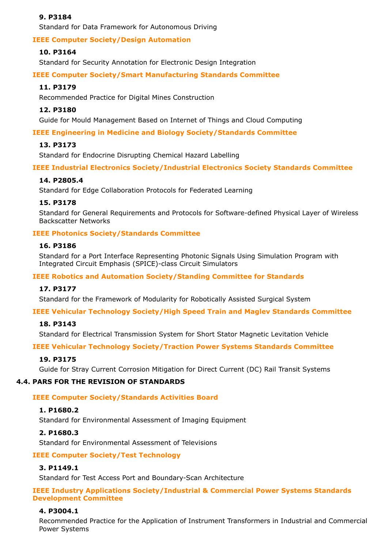## **[9. P31](https://development.standards.ieee.org/myproject-web/app#/viewpar/10008)84**

Standard for Data Framework for Autonomous Driving

### **IEEE Computer Society/Design Automation**

# **[10. P31](https://development.standards.ieee.org/myproject-web/app#/viewpar/9816)64**

Standard for Security Annotation for Electronic Design Integration

**IEEE Computer Society/Smart Manufacturing Standards Committee**

#### **[11. P31](https://development.standards.ieee.org/myproject-web/app#/viewpar/9981)79**

Recommended Practice for Digital Mines Construction

### **[12. P31](https://development.standards.ieee.org/myproject-web/app#/viewpar/9988)80**

Guide for Mould Management Based on Internet of Things and Cloud Computing

**IEEE Engineering in Medicine and Biology Society/Standards Committee**

#### **[13. P31](https://development.standards.ieee.org/myproject-web/app#/viewpar/9940)73**

Standard for Endocrine Disrupting Chemical Hazard Labelling

**IEEE Industrial Electronics Society/Industrial Electronics Society Standards Committee**

#### **[14. P280](https://development.standards.ieee.org/myproject-web/app#/viewpar/10005)5.4**

Standard for Edge Collaboration Protocols for Federated Learning

#### **[15. P31](https://development.standards.ieee.org/myproject-web/app#/viewpar/9977)78**

Standard for General Requirements and Protocols for Software-defined Physical Layer of Wireless Backscatter Networks

#### **IEEE Photonics Society/Standards Committee**

#### **[16. P31](https://development.standards.ieee.org/myproject-web/app#/viewpar/10013)86**

Standard for a Port Interface Representing Photonic Signals Using Simulation Program with Integrated Circuit Emphasis (SPICE)-class Circuit Simulators

#### **IEEE Robotics and Automation Society/Standing Committee for Standards**

#### **[17. P31](https://development.standards.ieee.org/myproject-web/app#/viewpar/9969)77**

Standard for the Framework of Modularity for Robotically Assisted Surgical System

**IEEE Vehicular Technology Society/High Speed Train and Maglev Standards Committee**

### **[18. P31](https://development.standards.ieee.org/myproject-web/app#/viewpar/9664)43**

Standard for Electrical Transmission System for Short Stator Magnetic Levitation Vehicle

**IEEE Vehicular Technology Society/Traction Power Systems Standards Committee**

#### **[19. P31](https://development.standards.ieee.org/myproject-web/app#/viewpar/9911)75**

Guide for Stray Current Corrosion Mitigation for Direct Current (DC) Rail Transit Systems

# **4.4. PARS FOR THE REVISION OF STANDARDS**

#### **IEEE Computer Society/Standards Activities Board**

# **[1. P168](https://development.standards.ieee.org/myproject-web/app#/viewpar/9996)0.2**

Standard for Environmental Assessment of Imaging Equipment

### **[2. P168](https://development.standards.ieee.org/myproject-web/app#/viewpar/10000)0.3**

Standard for Environmental Assessment of Televisions

#### **IEEE Computer Society/Test Technology**

# **[3. P114](https://development.standards.ieee.org/myproject-web/app#/viewpar/9920)9.1**

Standard for Test Access Port and Boundary-Scan Architecture

**IEEE Industry Applications Society/Industrial & Commercial Power Systems Standards Development Committee**

#### **[4. P300](https://development.standards.ieee.org/myproject-web/app#/viewpar/9819)4.1**

Recommended Practice for the Application of Instrument Transformers in Industrial and Commercial Power Systems